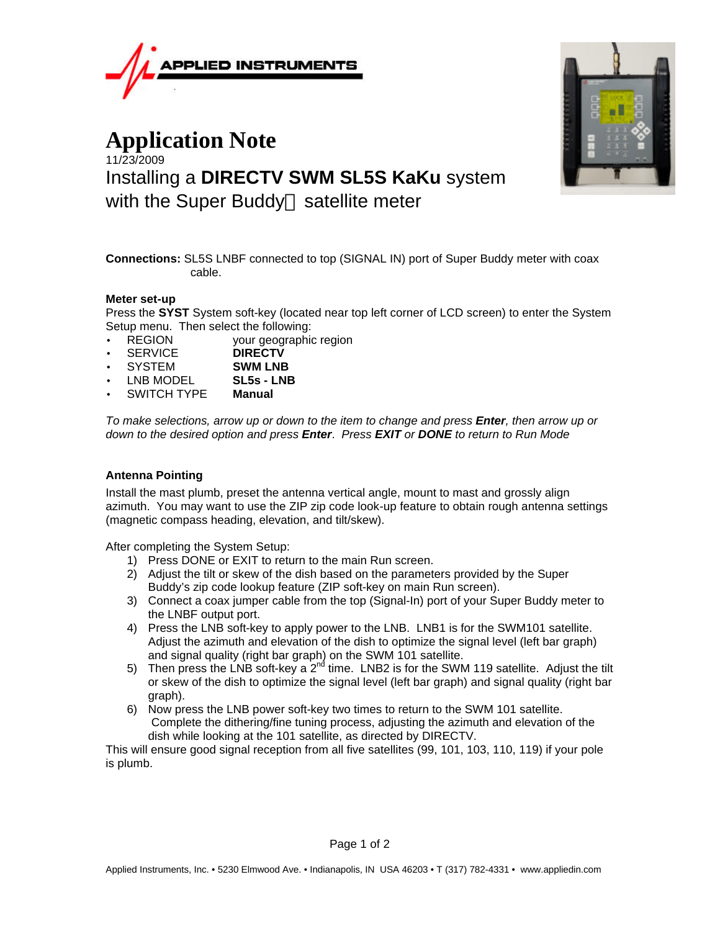

## **Application Note** 11/23/2009 Installing a **DIRECTV SWM SL5S KaKu** system with the Super Buddy<sup> $M$ </sup> satellite meter



**Connections:** SL5S LNBF connected to top (SIGNAL IN) port of Super Buddy meter with coax cable.

## **Meter set-up**

Press the **SYST** System soft-key (located near top left corner of LCD screen) to enter the System Setup menu. Then select the following:

- REGION your geographic region
- SERVICE **DIRECTV**
- SYSTEM **SWM LNB**
- LNB MODEL **SL5s LNB**
- SWITCH TYPE **Manual**

*To make selections, arrow up or down to the item to change and press Enter, then arrow up or down to the desired option and press Enter*. *Press EXIT or DONE to return to Run Mode*

## **Antenna Pointing**

Install the mast plumb, preset the antenna vertical angle, mount to mast and grossly align azimuth. You may want to use the ZIP zip code look-up feature to obtain rough antenna settings (magnetic compass heading, elevation, and tilt/skew).

After completing the System Setup:

- 1) Press DONE or EXIT to return to the main Run screen.
- 2) Adjust the tilt or skew of the dish based on the parameters provided by the Super Buddy's zip code lookup feature (ZIP soft-key on main Run screen).
- 3) Connect a coax jumper cable from the top (Signal-In) port of your Super Buddy meter to the LNBF output port.
- 4) Press the LNB soft-key to apply power to the LNB. LNB1 is for the SWM101 satellite. Adjust the azimuth and elevation of the dish to optimize the signal level (left bar graph) and signal quality (right bar graph) on the SWM 101 satellite.
- 5) Then press the LNB soft-key a  $2^{nd}$  time. LNB2 is for the SWM 119 satellite. Adjust the tilt or skew of the dish to optimize the signal level (left bar graph) and signal quality (right bar graph).
- 6) Now press the LNB power soft-key two times to return to the SWM 101 satellite. Complete the dithering/fine tuning process, adjusting the azimuth and elevation of the dish while looking at the 101 satellite, as directed by DIRECTV.

This will ensure good signal reception from all five satellites (99, 101, 103, 110, 119) if your pole is plumb.